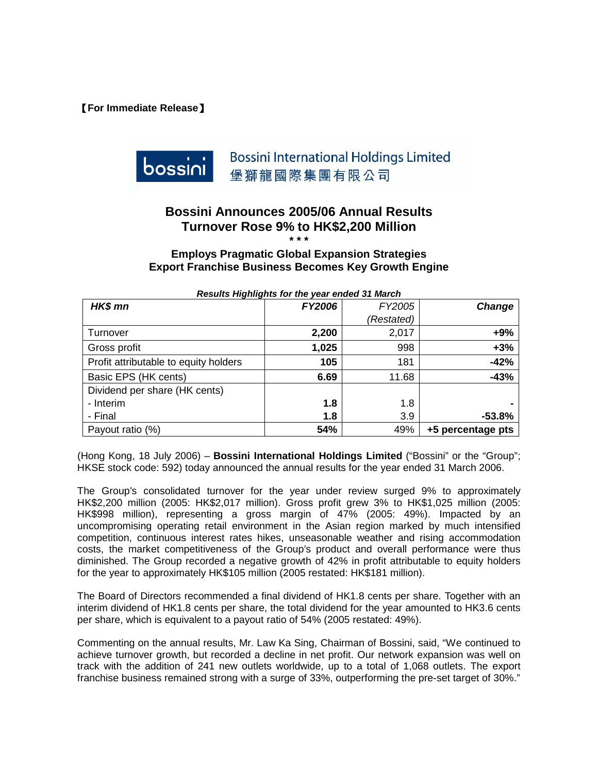【**For Immediate Release**】



## **Bossini Announces 2005/06 Annual Results Turnover Rose 9% to HK\$2,200 Million**

**\* \* \*** 

#### **Employs Pragmatic Global Expansion Strategies Export Franchise Business Becomes Key Growth Engine**

| Results inginights for the year ended of march |               |            |                   |  |  |  |  |
|------------------------------------------------|---------------|------------|-------------------|--|--|--|--|
| HK\$ mn                                        | <b>FY2006</b> | FY2005     | Change            |  |  |  |  |
|                                                |               | (Restated) |                   |  |  |  |  |
| Turnover                                       | 2,200         | 2,017      | $+9%$             |  |  |  |  |
| Gross profit                                   | 1,025         | 998        | $+3%$             |  |  |  |  |
| Profit attributable to equity holders          | 105           | 181        | $-42%$            |  |  |  |  |
| Basic EPS (HK cents)                           | 6.69          | 11.68      | $-43%$            |  |  |  |  |
| Dividend per share (HK cents)                  |               |            |                   |  |  |  |  |
| - Interim                                      | 1.8           | 1.8        |                   |  |  |  |  |
| - Final                                        | 1.8           | 3.9        | $-53.8%$          |  |  |  |  |
| Payout ratio (%)                               | 54%           | 49%        | +5 percentage pts |  |  |  |  |

#### *Results Highlights for the year ended 31 March*

(Hong Kong, 18 July 2006) – **Bossini International Holdings Limited** ("Bossini" or the "Group"; HKSE stock code: 592) today announced the annual results for the year ended 31 March 2006.

The Group's consolidated turnover for the year under review surged 9% to approximately HK\$2,200 million (2005: HK\$2,017 million). Gross profit grew 3% to HK\$1,025 million (2005: HK\$998 million), representing a gross margin of 47% (2005: 49%). Impacted by an uncompromising operating retail environment in the Asian region marked by much intensified competition, continuous interest rates hikes, unseasonable weather and rising accommodation costs, the market competitiveness of the Group's product and overall performance were thus diminished. The Group recorded a negative growth of 42% in profit attributable to equity holders for the year to approximately HK\$105 million (2005 restated: HK\$181 million).

The Board of Directors recommended a final dividend of HK1.8 cents per share. Together with an interim dividend of HK1.8 cents per share, the total dividend for the year amounted to HK3.6 cents per share, which is equivalent to a payout ratio of 54% (2005 restated: 49%).

Commenting on the annual results, Mr. Law Ka Sing, Chairman of Bossini, said, "We continued to achieve turnover growth, but recorded a decline in net profit. Our network expansion was well on track with the addition of 241 new outlets worldwide, up to a total of 1,068 outlets. The export franchise business remained strong with a surge of 33%, outperforming the pre-set target of 30%."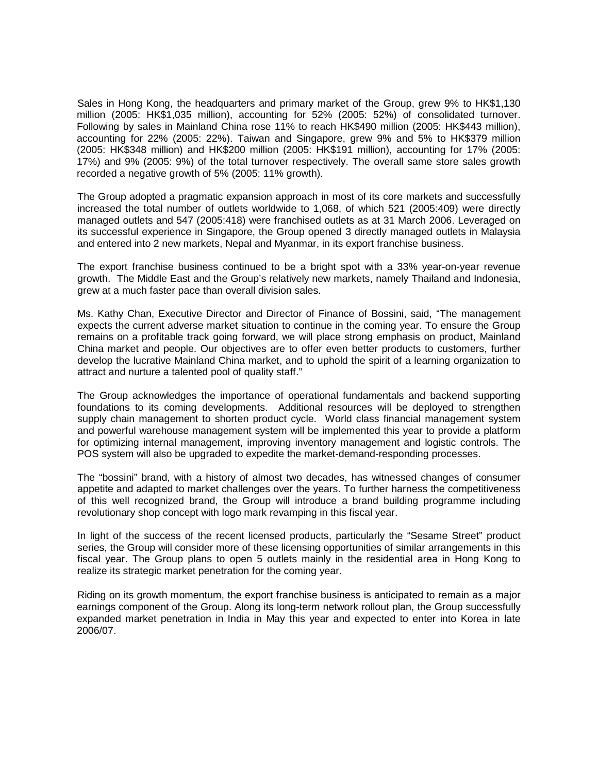Sales in Hong Kong, the headquarters and primary market of the Group, grew 9% to HK\$1,130 million (2005: HK\$1,035 million), accounting for 52% (2005: 52%) of consolidated turnover. Following by sales in Mainland China rose 11% to reach HK\$490 million (2005: HK\$443 million), accounting for 22% (2005: 22%). Taiwan and Singapore, grew 9% and 5% to HK\$379 million (2005: HK\$348 million) and HK\$200 million (2005: HK\$191 million), accounting for 17% (2005: 17%) and 9% (2005: 9%) of the total turnover respectively. The overall same store sales growth recorded a negative growth of 5% (2005: 11% growth).

The Group adopted a pragmatic expansion approach in most of its core markets and successfully increased the total number of outlets worldwide to 1,068, of which 521 (2005:409) were directly managed outlets and 547 (2005:418) were franchised outlets as at 31 March 2006. Leveraged on its successful experience in Singapore, the Group opened 3 directly managed outlets in Malaysia and entered into 2 new markets, Nepal and Myanmar, in its export franchise business.

The export franchise business continued to be a bright spot with a 33% year-on-year revenue growth. The Middle East and the Group's relatively new markets, namely Thailand and Indonesia, grew at a much faster pace than overall division sales.

Ms. Kathy Chan, Executive Director and Director of Finance of Bossini, said, "The management expects the current adverse market situation to continue in the coming year. To ensure the Group remains on a profitable track going forward, we will place strong emphasis on product, Mainland China market and people. Our objectives are to offer even better products to customers, further develop the lucrative Mainland China market, and to uphold the spirit of a learning organization to attract and nurture a talented pool of quality staff."

The Group acknowledges the importance of operational fundamentals and backend supporting foundations to its coming developments. Additional resources will be deployed to strengthen supply chain management to shorten product cycle. World class financial management system and powerful warehouse management system will be implemented this year to provide a platform for optimizing internal management, improving inventory management and logistic controls. The POS system will also be upgraded to expedite the market-demand-responding processes.

The "bossini" brand, with a history of almost two decades, has witnessed changes of consumer appetite and adapted to market challenges over the years. To further harness the competitiveness of this well recognized brand, the Group will introduce a brand building programme including revolutionary shop concept with logo mark revamping in this fiscal year.

In light of the success of the recent licensed products, particularly the "Sesame Street" product series, the Group will consider more of these licensing opportunities of similar arrangements in this fiscal year. The Group plans to open 5 outlets mainly in the residential area in Hong Kong to realize its strategic market penetration for the coming year.

Riding on its growth momentum, the export franchise business is anticipated to remain as a major earnings component of the Group. Along its long-term network rollout plan, the Group successfully expanded market penetration in India in May this year and expected to enter into Korea in late 2006/07.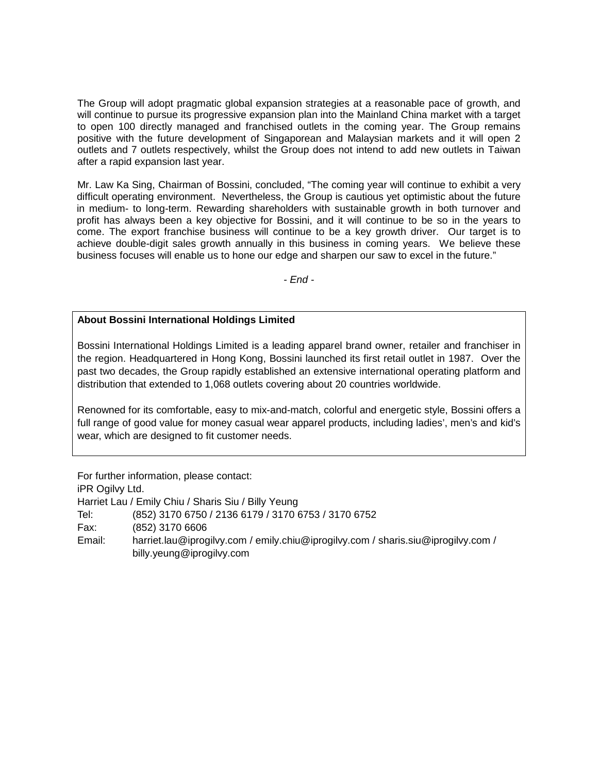The Group will adopt pragmatic global expansion strategies at a reasonable pace of growth, and will continue to pursue its progressive expansion plan into the Mainland China market with a target to open 100 directly managed and franchised outlets in the coming year. The Group remains positive with the future development of Singaporean and Malaysian markets and it will open 2 outlets and 7 outlets respectively, whilst the Group does not intend to add new outlets in Taiwan after a rapid expansion last year.

Mr. Law Ka Sing, Chairman of Bossini, concluded, "The coming year will continue to exhibit a very difficult operating environment. Nevertheless, the Group is cautious yet optimistic about the future in medium- to long-term. Rewarding shareholders with sustainable growth in both turnover and profit has always been a key objective for Bossini, and it will continue to be so in the years to come. The export franchise business will continue to be a key growth driver. Our target is to achieve double-digit sales growth annually in this business in coming years. We believe these business focuses will enable us to hone our edge and sharpen our saw to excel in the future."

*- End -* 

#### **About Bossini International Holdings Limited**

Bossini International Holdings Limited is a leading apparel brand owner, retailer and franchiser in the region. Headquartered in Hong Kong, Bossini launched its first retail outlet in 1987. Over the past two decades, the Group rapidly established an extensive international operating platform and distribution that extended to 1,068 outlets covering about 20 countries worldwide.

Renowned for its comfortable, easy to mix-and-match, colorful and energetic style, Bossini offers a full range of good value for money casual wear apparel products, including ladies', men's and kid's wear, which are designed to fit customer needs.

For further information, please contact: iPR Ogilvy Ltd. Harriet Lau / Emily Chiu / Sharis Siu / Billy Yeung Tel: (852) 3170 6750 / 2136 6179 / 3170 6753 / 3170 6752 Fax: (852) 3170 6606 Email: harriet.lau@iprogilvy.com / emily.chiu@iprogilvy.com / sharis.siu@iprogilvy.com / billy.yeung@iprogilvy.com